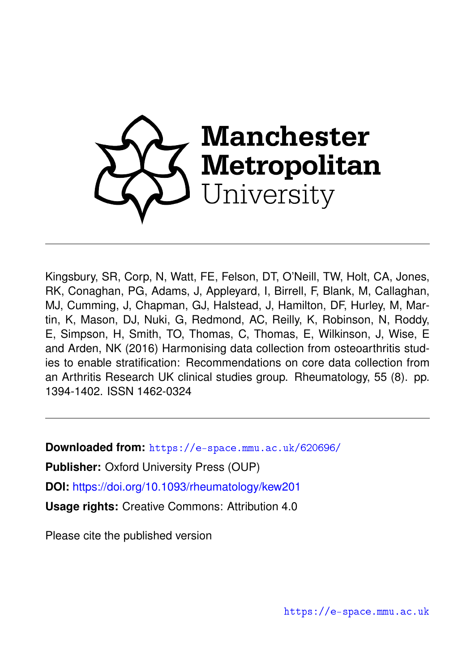

Kingsbury, SR, Corp, N, Watt, FE, Felson, DT, O'Neill, TW, Holt, CA, Jones, RK, Conaghan, PG, Adams, J, Appleyard, I, Birrell, F, Blank, M, Callaghan, MJ, Cumming, J, Chapman, GJ, Halstead, J, Hamilton, DF, Hurley, M, Martin, K, Mason, DJ, Nuki, G, Redmond, AC, Reilly, K, Robinson, N, Roddy, E, Simpson, H, Smith, TO, Thomas, C, Thomas, E, Wilkinson, J, Wise, E and Arden, NK (2016) Harmonising data collection from osteoarthritis studies to enable stratification: Recommendations on core data collection from an Arthritis Research UK clinical studies group. Rheumatology, 55 (8). pp. 1394-1402. ISSN 1462-0324

**Downloaded from:** <https://e-space.mmu.ac.uk/620696/>

**Publisher:** Oxford University Press (OUP)

**DOI:** <https://doi.org/10.1093/rheumatology/kew201>

**Usage rights:** Creative Commons: Attribution 4.0

Please cite the published version

<https://e-space.mmu.ac.uk>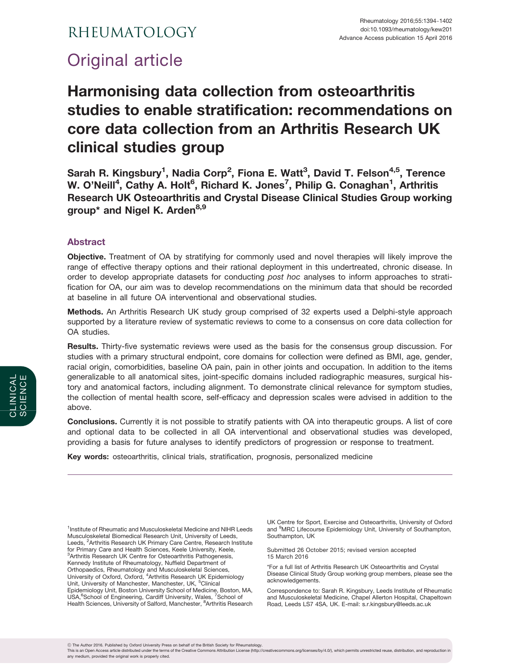# RHEUMATOLOGY

# Original article

# Harmonising data collection from osteoarthritis studies to enable stratification: recommendations on core data collection from an Arthritis Research UK clinical studies group

Sarah R. Kingsbury<sup>1</sup>, Nadia Corp<sup>2</sup>, Fiona E. Watt<sup>3</sup>, David T. Felson<sup>4,5</sup>, Terence W. O'Neill<sup>4</sup>, Cathy A. Holt<sup>6</sup>, Richard K. Jones<sup>7</sup>, Philip G. Conaghan<sup>1</sup>, Arthritis Research UK Osteoarthritis and Crystal Disease Clinical Studies Group working aroup\* and Nigel K. Arden<sup>8,9</sup>

# Abstract

Objective. Treatment of OA by stratifying for commonly used and novel therapies will likely improve the range of effective therapy options and their rational deployment in this undertreated, chronic disease. In order to develop appropriate datasets for conducting post hoc analyses to inform approaches to stratification for OA, our aim was to develop recommendations on the minimum data that should be recorded at baseline in all future OA interventional and observational studies.

Methods. An Arthritis Research UK study group comprised of 32 experts used a Delphi-style approach supported by a literature review of systematic reviews to come to a consensus on core data collection for OA studies.

Results. Thirty-five systematic reviews were used as the basis for the consensus group discussion. For studies with a primary structural endpoint, core domains for collection were defined as BMI, age, gender, racial origin, comorbidities, baseline OA pain, pain in other joints and occupation. In addition to the items generalizable to all anatomical sites, joint-specific domains included radiographic measures, surgical history and anatomical factors, including alignment. To demonstrate clinical relevance for symptom studies, the collection of mental health score, self-efficacy and depression scales were advised in addition to the above.

Conclusions. Currently it is not possible to stratify patients with OA into therapeutic groups. A list of core and optional data to be collected in all OA interventional and observational studies was developed, providing a basis for future analyses to identify predictors of progression or response to treatment.

Key words: osteoarthritis, clinical trials, stratification, prognosis, personalized medicine

<sup>1</sup>Institute of Rheumatic and Musculoskeletal Medicine and NIHR Leeds Musculoskeletal Biomedical Research Unit, University of Leeds, Leeds, <sup>2</sup>Arthritis Research UK Primary Care Centre, Research Institute for Primary Care and Health Sciences, Keele University, Keele, <sup>3</sup>Arthritis Research UK Centre for Osteoarthritis Pathogenesis, Kennedy Institute of Rheumatology, Nuffield Department of Orthopaedics, Rheumatology and Musculoskeletal Sciences,<br>University of Oxford, Oxford, <sup>4</sup>Arthritis Research UK Epidemiology Unit, University of Manchester, Manchester, UK, <sup>5</sup>Clinical Epidemiology Unit, Boston University School of Medicine, Boston, MA, USA,<sup>6</sup>School of Engineering, Cardiff University, Wales, <sup>7</sup>School of Health Sciences, University of Salford, Manchester, <sup>8</sup>Arthritis Research

UK Centre for Sport, Exercise and Osteoarthritis, University of Oxford and <sup>9</sup>MRC Lifecourse Epidemiology Unit, University of Southampton, Southampton, UK

Submitted 26 October 2015; revised version accepted 15 March 2016

\*For a full list of Arthritis Research UK Osteoarthritis and Crystal Disease Clinical Study Group working group members, please see the acknowledgements.

Correspondence to: Sarah R. Kingsbury, Leeds Institute of Rheumatic and Musculoskeletal Medicine, Chapel Allerton Hospital, Chapeltown Road, Leeds LS7 4SA, UK. E-mail: s.r.kingsbury@leeds.ac.uk

any medium, provided the original work is properly cited.

Ithor 2016. Published by Oxford University Press on behalf of the British Society for Rheumatology. This is an Open Access article distributed under the terms of the Creative Commons Attribution License ([http://creativecommons.org/licenses/by/4.0/\)](http://creativecommons.org/licenses/by/4.0/), which permits unrestricted reuse, distribution, and reproduction in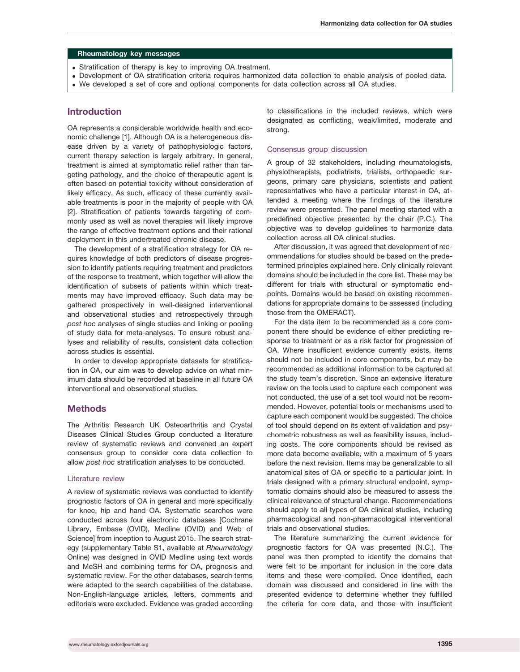#### Rheumatology key messages

- . Stratification of therapy is key to improving OA treatment.
- . Development of OA stratification criteria requires harmonized data collection to enable analysis of pooled data. . We developed a set of core and optional components for data collection across all OA studies.

# Introduction

OA represents a considerable worldwide health and economic challenge [\[1\]](#page-8-0). Although OA is a heterogeneous disease driven by a variety of pathophysiologic factors, current therapy selection is largely arbitrary. In general, treatment is aimed at symptomatic relief rather than targeting pathology, and the choice of therapeutic agent is often based on potential toxicity without consideration of likely efficacy. As such, efficacy of these currently available treatments is poor in the majority of people with OA [[2](#page-8-0)]. Stratification of patients towards targeting of commonly used as well as novel therapies will likely improve the range of effective treatment options and their rational deployment in this undertreated chronic disease.

The development of a stratification strategy for OA requires knowledge of both predictors of disease progression to identify patients requiring treatment and predictors of the response to treatment, which together will allow the identification of subsets of patients within which treatments may have improved efficacy. Such data may be gathered prospectively in well-designed interventional and observational studies and retrospectively through post hoc analyses of single studies and linking or pooling of study data for meta-analyses. To ensure robust analyses and reliability of results, consistent data collection across studies is essential.

In order to develop appropriate datasets for stratification in OA, our aim was to develop advice on what minimum data should be recorded at baseline in all future OA interventional and observational studies.

# **Methods**

The Arthritis Research UK Osteoarthritis and Crystal Diseases Clinical Studies Group conducted a literature review of systematic reviews and convened an expert consensus group to consider core data collection to allow post hoc stratification analyses to be conducted.

#### Literature review

A review of systematic reviews was conducted to identify prognostic factors of OA in general and more specifically for knee, hip and hand OA. Systematic searches were conducted across four electronic databases [Cochrane Library, Embase (OVID), Medline (OVID) and Web of Science] from inception to August 2015. The search strategy [\(supplementary Table S1](http://rheumatology.oxfordjournals.org/lookup/suppl/doi:10.1093/rheumatology/kew201/-/DC1), available at Rheumatology Online) was designed in OVID Medline using text words and MeSH and combining terms for OA, prognosis and systematic review. For the other databases, search terms were adapted to the search capabilities of the database. Non-English-language articles, letters, comments and editorials were excluded. Evidence was graded according

to classifications in the included reviews, which were designated as conflicting, weak/limited, moderate and strong.

#### Consensus group discussion

A group of 32 stakeholders, including rheumatologists, physiotherapists, podiatrists, trialists, orthopaedic surgeons, primary care physicians, scientists and patient representatives who have a particular interest in OA, attended a meeting where the findings of the literature review were presented. The panel meeting started with a predefined objective presented by the chair (P.C.). The objective was to develop guidelines to harmonize data collection across all OA clinical studies.

After discussion, it was agreed that development of recommendations for studies should be based on the predetermined principles explained here. Only clinically relevant domains should be included in the core list. These may be different for trials with structural or symptomatic endpoints. Domains would be based on existing recommendations for appropriate domains to be assessed (including those from the OMERACT).

For the data item to be recommended as a core component there should be evidence of either predicting response to treatment or as a risk factor for progression of OA. Where insufficient evidence currently exists, items should not be included in core components, but may be recommended as additional information to be captured at the study team's discretion. Since an extensive literature review on the tools used to capture each component was not conducted, the use of a set tool would not be recommended. However, potential tools or mechanisms used to capture each component would be suggested. The choice of tool should depend on its extent of validation and psychometric robustness as well as feasibility issues, including costs. The core components should be revised as more data become available, with a maximum of 5 years before the next revision. Items may be generalizable to all anatomical sites of OA or specific to a particular joint. In trials designed with a primary structural endpoint, symptomatic domains should also be measured to assess the clinical relevance of structural change. Recommendations should apply to all types of OA clinical studies, including pharmacological and non-pharmacological interventional trials and observational studies.

The literature summarizing the current evidence for prognostic factors for OA was presented (N.C.). The panel was then prompted to identify the domains that were felt to be important for inclusion in the core data items and these were compiled. Once identified, each domain was discussed and considered in line with the presented evidence to determine whether they fulfilled the criteria for core data, and those with insufficient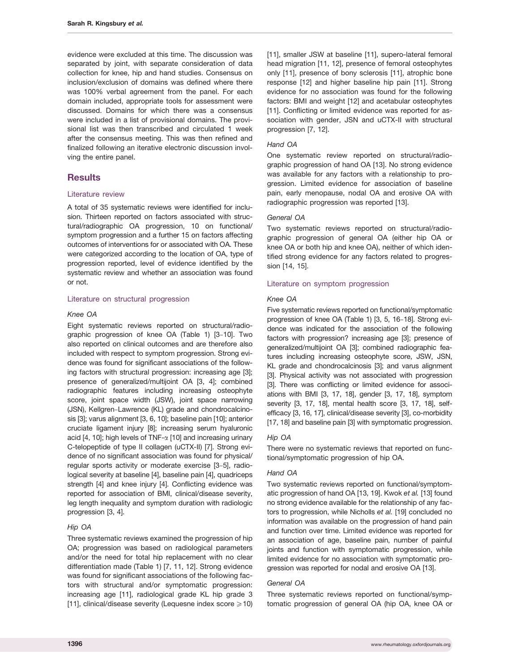evidence were excluded at this time. The discussion was separated by joint, with separate consideration of data collection for knee, hip and hand studies. Consensus on inclusion/exclusion of domains was defined where there was 100% verbal agreement from the panel. For each domain included, appropriate tools for assessment were discussed. Domains for which there was a consensus were included in a list of provisional domains. The provisional list was then transcribed and circulated 1 week after the consensus meeting. This was then refined and finalized following an iterative electronic discussion involving the entire panel.

# **Results**

#### Literature review

A total of 35 systematic reviews were identified for inclusion. Thirteen reported on factors associated with structural/radiographic OA progression, 10 on functional/ symptom progression and a further 15 on factors affecting outcomes of interventions for or associated with OA. These were categorized according to the location of OA, type of progression reported, level of evidence identified by the systematic review and whether an association was found or not.

#### Literature on structural progression

### Knee OA

Eight systematic reviews reported on structural/radiographic progression of knee OA [\(Table 1](#page-4-0)) [\[3](#page-8-0)-[10](#page-8-0)]. Two also reported on clinical outcomes and are therefore also included with respect to symptom progression. Strong evidence was found for significant associations of the following factors with structural progression: increasing age [[3](#page-8-0)]; presence of generalized/multijoint OA [\[3, 4\]](#page-8-0); combined radiographic features including increasing osteophyte score, joint space width (JSW), joint space narrowing (JSN), Kellgren-Lawrence (KL) grade and chondrocalcinosis [[3](#page-8-0)]; varus alignment [\[3, 6, 10](#page-8-0)]; baseline pain [[10\]](#page-8-0); anterior cruciate ligament injury [\[8\]](#page-8-0); increasing serum hyaluronic acid  $[4, 10]$  $[4, 10]$  $[4, 10]$ ; high levels of TNF- $\alpha$  [[10\]](#page-8-0) and increasing urinary C-telopeptide of type II collagen (uCTX-II) [\[7](#page-8-0)]. Strong evidence of no significant association was found for physical/ regular sports activity or moderate exercise [\[3](#page-8-0)-[5](#page-8-0)], radiological severity at baseline [\[4](#page-8-0)], baseline pain [[4](#page-8-0)], quadriceps strength [\[4](#page-8-0)] and knee injury [\[4\]](#page-8-0). Conflicting evidence was reported for association of BMI, clinical/disease severity, leg length inequality and symptom duration with radiologic progression [\[3, 4](#page-8-0)].

## Hip OA

Three systematic reviews examined the progression of hip OA; progression was based on radiological parameters and/or the need for total hip replacement with no clear differentiation made ([Table 1](#page-4-0)) [[7, 11](#page-8-0), [12](#page-8-0)]. Strong evidence was found for significant associations of the following factors with structural and/or symptomatic progression: increasing age [\[11\]](#page-8-0), radiological grade KL hip grade 3 [[11\]](#page-8-0), clinical/disease severity (Lequesne index score  $\geq 10$ )

[[11](#page-8-0)], smaller JSW at baseline [11], supero-lateral femoral head migration [\[11, 12](#page-8-0)], presence of femoral osteophytes only [[11](#page-8-0)], presence of bony sclerosis [\[11\]](#page-8-0), atrophic bone response [[12](#page-8-0)] and higher baseline hip pain [[11](#page-8-0)]. Strong evidence for no association was found for the following factors: BMI and weight [[12](#page-8-0)] and acetabular osteophytes [[11](#page-8-0)]. Conflicting or limited evidence was reported for association with gender, JSN and uCTX-II with structural progression [\[7](#page-8-0), [12\]](#page-8-0).

#### Hand OA

One systematic review reported on structural/radiographic progression of hand OA [[13](#page-8-0)]. No strong evidence was available for any factors with a relationship to progression. Limited evidence for association of baseline pain, early menopause, nodal OA and erosive OA with radiographic progression was reported [\[13](#page-8-0)].

#### General OA

Two systematic reviews reported on structural/radiographic progression of general OA (either hip OA or knee OA or both hip and knee OA), neither of which identified strong evidence for any factors related to progression [\[14, 15](#page-8-0)].

### Literature on symptom progression

#### Knee OA

Five systematic reviews reported on functional/symptomatic progression of knee OA [\(Table 1\)](#page-4-0) [\[3](#page-8-0), [5](#page-8-0), [16](#page-8-0)-[18\]](#page-8-0). Strong evidence was indicated for the association of the following factors with progression? increasing age [\[3\]](#page-8-0); presence of generalized/multijoint OA [\[3\]](#page-8-0); combined radiographic features including increasing osteophyte score, JSW, JSN, KL grade and chondrocalcinosis [\[3\]](#page-8-0); and varus alignment [[3](#page-8-0)]. Physical activity was not associated with progression [[3](#page-8-0)]. There was conflicting or limited evidence for associations with BMI [\[3, 17](#page-8-0), [18](#page-8-0)], gender [\[3, 17, 18](#page-8-0)], symptom severity [[3](#page-8-0), [17, 18\]](#page-8-0), mental health score [[3](#page-8-0), [17](#page-8-0), [18\]](#page-8-0), selfefficacy [\[3, 16](#page-8-0), [17\]](#page-8-0), clinical/disease severity [\[3\]](#page-8-0), co-morbidity [[17, 18](#page-8-0)] and baseline pain [[3](#page-8-0)] with symptomatic progression.

#### Hip OA

There were no systematic reviews that reported on functional/symptomatic progression of hip OA.

## Hand OA

Two systematic reviews reported on functional/symptomatic progression of hand OA [[13](#page-8-0), [19\]](#page-8-0). Kwok et al. [\[13](#page-8-0)] found no strong evidence available for the relationship of any factors to progression, while Nicholls et al. [[19\]](#page-8-0) concluded no information was available on the progression of hand pain and function over time. Limited evidence was reported for an association of age, baseline pain, number of painful joints and function with symptomatic progression, while limited evidence for no association with symptomatic progression was reported for nodal and erosive OA [\[13](#page-8-0)].

#### General OA

Three systematic reviews reported on functional/symptomatic progression of general OA (hip OA, knee OA or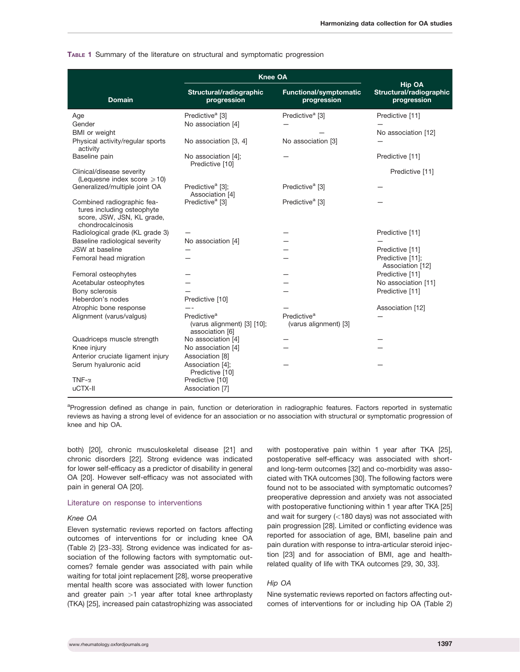<span id="page-4-0"></span>

|  |  |  | TABLE 1 Summary of the literature on structural and symptomatic progression |  |
|--|--|--|-----------------------------------------------------------------------------|--|
|  |  |  |                                                                             |  |

|                                                                                                             | <b>Knee OA</b>                                                            |                                                  |                                                         |
|-------------------------------------------------------------------------------------------------------------|---------------------------------------------------------------------------|--------------------------------------------------|---------------------------------------------------------|
| <b>Domain</b>                                                                                               | Structural/radiographic<br>progression                                    | <b>Functional/symptomatic</b><br>progression     | <b>Hip OA</b><br>Structural/radiographic<br>progression |
| Age                                                                                                         | Predictive <sup>a</sup> [3]                                               | Predictive <sup>a</sup> [3]                      | Predictive [11]                                         |
| Gender<br><b>BMI</b> or weight                                                                              | No association [4]                                                        |                                                  | No association [12]                                     |
| Physical activity/regular sports<br>activity                                                                | No association [3, 4]                                                     | No association [3]                               |                                                         |
| Baseline pain                                                                                               | No association [4];<br>Predictive [10]                                    |                                                  | Predictive [11]                                         |
| Clinical/disease severity<br>(Lequesne index score $\geq 10$ )                                              |                                                                           |                                                  | Predictive [11]                                         |
| Generalized/multiple joint OA                                                                               | Predictive <sup>a</sup> [3];<br>Association [4]                           | Predictive <sup>a</sup> [3]                      |                                                         |
| Combined radiographic fea-<br>tures including osteophyte<br>score, JSW, JSN, KL grade,<br>chondrocalcinosis | Predictive <sup>a</sup> [3]                                               | Predictive <sup>a</sup> [3]                      |                                                         |
| Radiological grade (KL grade 3)                                                                             |                                                                           |                                                  | Predictive [11]                                         |
| Baseline radiological severity                                                                              | No association [4]                                                        |                                                  |                                                         |
| JSW at baseline                                                                                             |                                                                           |                                                  | Predictive [11]                                         |
| Femoral head migration                                                                                      |                                                                           |                                                  | Predictive [11];<br>Association [12]                    |
| Femoral osteophytes                                                                                         |                                                                           |                                                  | Predictive [11]                                         |
| Acetabular osteophytes                                                                                      |                                                                           |                                                  | No association [11]                                     |
| Bony sclerosis                                                                                              |                                                                           |                                                  | Predictive [11]                                         |
| Heberdon's nodes                                                                                            | Predictive [10]                                                           |                                                  |                                                         |
| Atrophic bone response                                                                                      |                                                                           |                                                  | Association [12]                                        |
| Alignment (varus/valgus)                                                                                    | Predictive <sup>a</sup><br>(varus alignment) [3] [10];<br>association [6] | Predictive <sup>a</sup><br>(varus alignment) [3] |                                                         |
| Quadriceps muscle strength                                                                                  | No association [4]                                                        |                                                  |                                                         |
| Knee injury                                                                                                 | No association [4]                                                        |                                                  |                                                         |
| Anterior cruciate ligament injury                                                                           | Association [8]                                                           |                                                  |                                                         |
| Serum hyaluronic acid                                                                                       | Association [4]:<br>Predictive [10]                                       |                                                  |                                                         |
| TNF- $\alpha$                                                                                               | Predictive [10]                                                           |                                                  |                                                         |
| uCTX-II                                                                                                     | Association [7]                                                           |                                                  |                                                         |

aProgression defined as change in pain, function or deterioration in radiographic features. Factors reported in systematic reviews as having a strong level of evidence for an association or no association with structural or symptomatic progression of knee and hip OA.

both) [\[20](#page-8-0)], chronic musculoskeletal disease [[21\]](#page-8-0) and chronic disorders [[22](#page-9-0)]. Strong evidence was indicated for lower self-efficacy as a predictor of disability in general OA [\[20\]](#page-8-0). However self-efficacy was not associated with pain in general OA [\[20\]](#page-8-0).

### Literature on response to interventions

# Knee OA

Eleven systematic reviews reported on factors affecting outcomes of interventions for or including knee OA ([Table 2](#page-5-0)) [\[23](#page-9-0)-[33](#page-9-0)]. Strong evidence was indicated for association of the following factors with symptomatic outcomes? female gender was associated with pain while waiting for total joint replacement [[28](#page-9-0)], worse preoperative mental health score was associated with lower function and greater pain >1 year after total knee arthroplasty (TKA) [\[25\]](#page-9-0), increased pain catastrophizing was associated

with postoperative pain within 1 year after TKA [[25](#page-9-0)], postoperative self-efficacy was associated with shortand long-term outcomes [[32](#page-9-0)] and co-morbidity was associated with TKA outcomes [[30](#page-9-0)]. The following factors were found not to be associated with symptomatic outcomes? preoperative depression and anxiety was not associated with postoperative functioning within 1 year after TKA [\[25\]](#page-9-0) and wait for surgery (<180 days) was not associated with pain progression [[28](#page-9-0)]. Limited or conflicting evidence was reported for association of age, BMI, baseline pain and pain duration with response to intra-articular steroid injection [[23](#page-9-0)] and for association of BMI, age and healthrelated quality of life with TKA outcomes [[29](#page-9-0), [30, 33](#page-9-0)].

# Hip OA

Nine systematic reviews reported on factors affecting outcomes of interventions for or including hip OA ([Table 2\)](#page-5-0)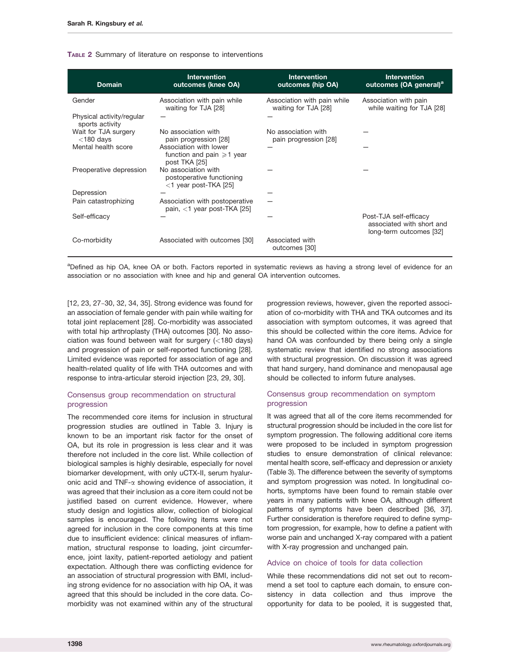#### <span id="page-5-0"></span>TABLE 2 Summary of literature on response to interventions

| <b>Domain</b>                                | <b>Intervention</b><br>outcomes (knee OA)                                    | <b>Intervention</b><br>outcomes (hip OA)            | <b>Intervention</b><br>outcomes (OA general) <sup>a</sup>                      |
|----------------------------------------------|------------------------------------------------------------------------------|-----------------------------------------------------|--------------------------------------------------------------------------------|
| Gender                                       | Association with pain while<br>waiting for TJA [28]                          | Association with pain while<br>waiting for TJA [28] | Association with pain<br>while waiting for TJA [28]                            |
| Physical activity/regular<br>sports activity |                                                                              |                                                     |                                                                                |
| Wait for TJA surgery<br>$<$ 180 days         | No association with<br>pain progression [28]                                 | No association with<br>pain progression [28]        |                                                                                |
| Mental health score                          | Association with lower<br>function and pain $\geq 1$ year<br>post TKA [25]   |                                                     |                                                                                |
| Preoperative depression                      | No association with<br>postoperative functioning<br>$<$ 1 year post-TKA [25] |                                                     |                                                                                |
| Depression                                   |                                                                              |                                                     |                                                                                |
| Pain catastrophizing                         | Association with postoperative<br>pain, $<$ 1 year post-TKA [25]             |                                                     |                                                                                |
| Self-efficacy                                |                                                                              |                                                     | Post-TJA self-efficacy<br>associated with short and<br>long-term outcomes [32] |
| Co-morbidity                                 | Associated with outcomes [30]                                                | Associated with<br>outcomes [30]                    |                                                                                |

<sup>a</sup>Defined as hip OA, knee OA or both. Factors reported in systematic reviews as having a strong level of evidence for an association or no association with knee and hip and general OA intervention outcomes.

[[12,](#page-8-0) [23, 27](#page-9-0)-[30, 32, 34, 35\]](#page-9-0). Strong evidence was found for an association of female gender with pain while waiting for total joint replacement [\[28\]](#page-9-0). Co-morbidity was associated with total hip arthroplasty (THA) outcomes [[30](#page-9-0)]. No association was found between wait for surgery  $(<180$  days) and progression of pain or self-reported functioning [[28](#page-9-0)]. Limited evidence was reported for association of age and health-related quality of life with THA outcomes and with response to intra-articular steroid injection [\[23](#page-9-0), [29, 30\]](#page-9-0).

## Consensus group recommendation on structural progression

The recommended core items for inclusion in structural progression studies are outlined in [Table 3.](#page-6-0) Injury is known to be an important risk factor for the onset of OA, but its role in progression is less clear and it was therefore not included in the core list. While collection of biological samples is highly desirable, especially for novel biomarker development, with only uCTX-II, serum hyaluronic acid and TNF-a showing evidence of association, it was agreed that their inclusion as a core item could not be justified based on current evidence. However, where study design and logistics allow, collection of biological samples is encouraged. The following items were not agreed for inclusion in the core components at this time due to insufficient evidence: clinical measures of inflammation, structural response to loading, joint circumference, joint laxity, patient-reported aetiology and patient expectation. Although there was conflicting evidence for an association of structural progression with BMI, including strong evidence for no association with hip OA, it was agreed that this should be included in the core data. Comorbidity was not examined within any of the structural

progression reviews, however, given the reported association of co-morbidity with THA and TKA outcomes and its association with symptom outcomes, it was agreed that this should be collected within the core items. Advice for hand OA was confounded by there being only a single systematic review that identified no strong associations with structural progression. On discussion it was agreed that hand surgery, hand dominance and menopausal age should be collected to inform future analyses.

# Consensus group recommendation on symptom progression

It was agreed that all of the core items recommended for structural progression should be included in the core list for symptom progression. The following additional core items were proposed to be included in symptom progression studies to ensure demonstration of clinical relevance: mental health score, self-efficacy and depression or anxiety ([Table 3](#page-6-0)). The difference between the severity of symptoms and symptom progression was noted. In longitudinal cohorts, symptoms have been found to remain stable over years in many patients with knee OA, although different patterns of symptoms have been described [[36](#page-9-0), [37](#page-9-0)]. Further consideration is therefore required to define symptom progression, for example, how to define a patient with worse pain and unchanged X-ray compared with a patient with X-ray progression and unchanged pain.

# Advice on choice of tools for data collection

While these recommendations did not set out to recommend a set tool to capture each domain, to ensure consistency in data collection and thus improve the opportunity for data to be pooled, it is suggested that,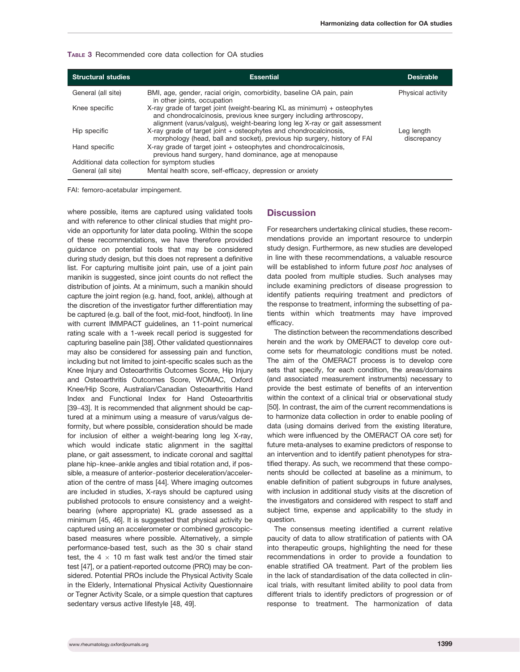<span id="page-6-0"></span>

| <b>Structural studies</b>                      | <b>Essential</b>                                                                                                                                                                                                              | <b>Desirable</b>          |  |  |  |
|------------------------------------------------|-------------------------------------------------------------------------------------------------------------------------------------------------------------------------------------------------------------------------------|---------------------------|--|--|--|
| General (all site)                             | BMI, age, gender, racial origin, comorbidity, baseline OA pain, pain<br>in other joints, occupation                                                                                                                           | Physical activity         |  |  |  |
| Knee specific                                  | X-ray grade of target joint (weight-bearing KL as minimum) + osteophytes<br>and chondrocalcinosis, previous knee surgery including arthroscopy,<br>alignment (varus/valgus), weight-bearing long leg X-ray or gait assessment |                           |  |  |  |
| Hip specific                                   | X-ray grade of target joint + osteophytes and chondrocalcinosis,<br>morphology (head, ball and socket), previous hip surgery, history of FAI                                                                                  | Leg length<br>discrepancy |  |  |  |
| Hand specific                                  | X-ray grade of target joint + osteophytes and chondrocalcinosis,<br>previous hand surgery, hand dominance, age at menopause                                                                                                   |                           |  |  |  |
| Additional data collection for symptom studies |                                                                                                                                                                                                                               |                           |  |  |  |
| General (all site)                             | Mental health score, self-efficacy, depression or anxiety                                                                                                                                                                     |                           |  |  |  |

FAI: femoro-acetabular impingement.

where possible, items are captured using validated tools and with reference to other clinical studies that might provide an opportunity for later data pooling. Within the scope of these recommendations, we have therefore provided guidance on potential tools that may be considered during study design, but this does not represent a definitive list. For capturing multisite joint pain, use of a joint pain manikin is suggested, since joint counts do not reflect the distribution of joints. At a minimum, such a manikin should capture the joint region (e.g. hand, foot, ankle), although at the discretion of the investigator further differentiation may be captured (e.g. ball of the foot, mid-foot, hindfoot). In line with current IMMPACT guidelines, an 11-point numerical rating scale with a 1-week recall period is suggested for capturing baseline pain [\[38](#page-9-0)]. Other validated questionnaires may also be considered for assessing pain and function, including but not limited to joint-specific scales such as the Knee Injury and Osteoarthritis Outcomes Score, Hip Injury and Osteoarthritis Outcomes Score, WOMAC, Oxford Knee/Hip Score, Australian/Canadian Osteoarthritis Hand Index and Functional Index for Hand Osteoarthritis [\[39](#page-9-0)-[43](#page-9-0)]. It is recommended that alignment should be captured at a minimum using a measure of varus/valgus deformity, but where possible, consideration should be made for inclusion of either a weight-bearing long leg X-ray, which would indicate static alignment in the sagittal plane, or gait assessment, to indicate coronal and sagittal plane hip-knee-ankle angles and tibial rotation and, if possible, a measure of anterior-posterior deceleration/acceleration of the centre of mass [\[44\]](#page-9-0). Where imaging outcomes are included in studies, X-rays should be captured using published protocols to ensure consistency and a weightbearing (where appropriate) KL grade assessed as a minimum [[45, 46](#page-9-0)]. It is suggested that physical activity be captured using an accelerometer or combined gyroscopicbased measures where possible. Alternatively, a simple performance-based test, such as the 30 s chair stand test, the 4  $\times$  10 m fast walk test and/or the timed stair test [\[47\]](#page-9-0), or a patient-reported outcome (PRO) may be considered. Potential PROs include the Physical Activity Scale in the Elderly, International Physical Activity Questionnaire or Tegner Activity Scale, or a simple question that captures sedentary versus active lifestyle [\[48](#page-9-0), [49\]](#page-9-0).

# **Discussion**

For researchers undertaking clinical studies, these recommendations provide an important resource to underpin study design. Furthermore, as new studies are developed in line with these recommendations, a valuable resource will be established to inform future post hoc analyses of data pooled from multiple studies. Such analyses may include examining predictors of disease progression to identify patients requiring treatment and predictors of the response to treatment, informing the subsetting of patients within which treatments may have improved efficacy.

The distinction between the recommendations described herein and the work by OMERACT to develop core outcome sets for rheumatologic conditions must be noted. The aim of the OMERACT process is to develop core sets that specify, for each condition, the areas/domains (and associated measurement instruments) necessary to provide the best estimate of benefits of an intervention within the context of a clinical trial or observational study [[50\]](#page-9-0). In contrast, the aim of the current recommendations is to harmonize data collection in order to enable pooling of data (using domains derived from the existing literature, which were influenced by the OMERACT OA core set) for future meta-analyses to examine predictors of response to an intervention and to identify patient phenotypes for stratified therapy. As such, we recommend that these components should be collected at baseline as a minimum, to enable definition of patient subgroups in future analyses, with inclusion in additional study visits at the discretion of the investigators and considered with respect to staff and subject time, expense and applicability to the study in question.

The consensus meeting identified a current relative paucity of data to allow stratification of patients with OA into therapeutic groups, highlighting the need for these recommendations in order to provide a foundation to enable stratified OA treatment. Part of the problem lies in the lack of standardisation of the data collected in clinical trials, with resultant limited ability to pool data from different trials to identify predictors of progression or of response to treatment. The harmonization of data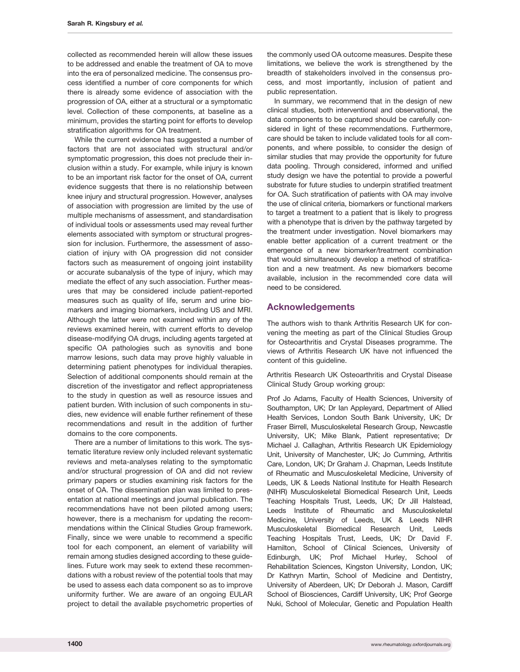collected as recommended herein will allow these issues to be addressed and enable the treatment of OA to move into the era of personalized medicine. The consensus process identified a number of core components for which there is already some evidence of association with the progression of OA, either at a structural or a symptomatic level. Collection of these components, at baseline as a minimum, provides the starting point for efforts to develop stratification algorithms for OA treatment.

While the current evidence has suggested a number of factors that are not associated with structural and/or symptomatic progression, this does not preclude their inclusion within a study. For example, while injury is known to be an important risk factor for the onset of OA, current evidence suggests that there is no relationship between knee injury and structural progression. However, analyses of association with progression are limited by the use of multiple mechanisms of assessment, and standardisation of individual tools or assessments used may reveal further elements associated with symptom or structural progression for inclusion. Furthermore, the assessment of association of injury with OA progression did not consider factors such as measurement of ongoing joint instability or accurate subanalysis of the type of injury, which may mediate the effect of any such association. Further measures that may be considered include patient-reported measures such as quality of life, serum and urine biomarkers and imaging biomarkers, including US and MRI. Although the latter were not examined within any of the reviews examined herein, with current efforts to develop disease-modifying OA drugs, including agents targeted at specific OA pathologies such as synovitis and bone marrow lesions, such data may prove highly valuable in determining patient phenotypes for individual therapies. Selection of additional components should remain at the discretion of the investigator and reflect appropriateness to the study in question as well as resource issues and patient burden. With inclusion of such components in studies, new evidence will enable further refinement of these recommendations and result in the addition of further domains to the core components.

There are a number of limitations to this work. The systematic literature review only included relevant systematic reviews and meta-analyses relating to the symptomatic and/or structural progression of OA and did not review primary papers or studies examining risk factors for the onset of OA. The dissemination plan was limited to presentation at national meetings and journal publication. The recommendations have not been piloted among users; however, there is a mechanism for updating the recommendations within the Clinical Studies Group framework. Finally, since we were unable to recommend a specific tool for each component, an element of variability will remain among studies designed according to these guidelines. Future work may seek to extend these recommendations with a robust review of the potential tools that may be used to assess each data component so as to improve uniformity further. We are aware of an ongoing EULAR project to detail the available psychometric properties of

the commonly used OA outcome measures. Despite these limitations, we believe the work is strengthened by the breadth of stakeholders involved in the consensus process, and most importantly, inclusion of patient and public representation.

In summary, we recommend that in the design of new clinical studies, both interventional and observational, the data components to be captured should be carefully considered in light of these recommendations. Furthermore, care should be taken to include validated tools for all components, and where possible, to consider the design of similar studies that may provide the opportunity for future data pooling. Through considered, informed and unified study design we have the potential to provide a powerful substrate for future studies to underpin stratified treatment for OA. Such stratification of patients with OA may involve the use of clinical criteria, biomarkers or functional markers to target a treatment to a patient that is likely to progress with a phenotype that is driven by the pathway targeted by the treatment under investigation. Novel biomarkers may enable better application of a current treatment or the emergence of a new biomarker/treatment combination that would simultaneously develop a method of stratification and a new treatment. As new biomarkers become available, inclusion in the recommended core data will need to be considered.

# Acknowledgements

The authors wish to thank Arthritis Research UK for convening the meeting as part of the Clinical Studies Group for Osteoarthritis and Crystal Diseases programme. The views of Arthritis Research UK have not influenced the content of this guideline.

Arthritis Research UK Osteoarthritis and Crystal Disease Clinical Study Group working group:

Prof Jo Adams, Faculty of Health Sciences, University of Southampton, UK; Dr Ian Appleyard, Department of Allied Health Services, London South Bank University, UK; Dr Fraser Birrell, Musculoskeletal Research Group, Newcastle University, UK; Mike Blank, Patient representative; Dr Michael J. Callaghan, Arthritis Research UK Epidemiology Unit, University of Manchester, UK; Jo Cumming, Arthritis Care, London, UK; Dr Graham J. Chapman, Leeds Institute of Rheumatic and Musculoskeletal Medicine, University of Leeds, UK & Leeds National Institute for Health Research (NIHR) Musculoskeletal Biomedical Research Unit, Leeds Teaching Hospitals Trust, Leeds, UK; Dr Jill Halstead, Leeds Institute of Rheumatic and Musculoskeletal Medicine, University of Leeds, UK & Leeds NIHR Musculoskeletal Biomedical Research Unit, Leeds Teaching Hospitals Trust, Leeds, UK; Dr David F. Hamilton, School of Clinical Sciences, University of Edinburgh, UK; Prof Michael Hurley, School of Rehabilitation Sciences, Kingston University, London, UK; Dr Kathryn Martin, School of Medicine and Dentistry, University of Aberdeen, UK; Dr Deborah J. Mason, Cardiff School of Biosciences, Cardiff University, UK; Prof George Nuki, School of Molecular, Genetic and Population Health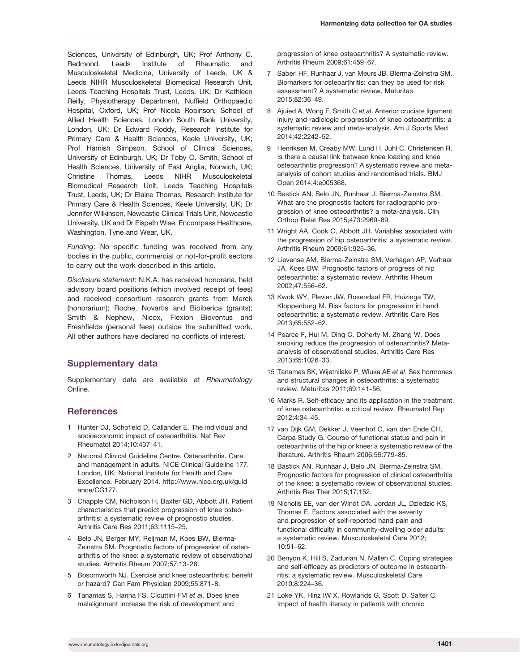<span id="page-8-0"></span>Sciences, University of Edinburgh, UK; Prof Anthony C. Redmond, Leeds Institute of Rheumatic and Musculoskeletal Medicine, University of Leeds, UK & Leeds NIHR Musculoskeletal Biomedical Research Unit, Leeds Teaching Hospitals Trust, Leeds, UK; Dr Kathleen Reilly, Physiotherapy Department, Nuffield Orthopaedic Hospital, Oxford, UK; Prof Nicola Robinson, School of Allied Health Sciences, London South Bank University, London, UK; Dr Edward Roddy, Research Institute for Primary Care & Health Sciences, Keele University, UK; Prof Hamish Simpson, School of Clinical Sciences, University of Edinburgh, UK; Dr Toby O. Smith, School of Health Sciences, University of East Anglia, Norwich, UK; Christine Thomas, Leeds NIHR Musculoskeletal Biomedical Research Unit, Leeds Teaching Hospitals Trust, Leeds, UK; Dr Elaine Thomas, Research Institute for Primary Care & Health Sciences, Keele University, UK; Dr Jennifer Wilkinson, Newcastle Clinical Trials Unit, Newcastle University, UK and Dr Elspeth Wise, Encompass Healthcare, Washington, Tyne and Wear, UK.

Funding: No specific funding was received from any bodies in the public, commercial or not-for-profit sectors to carry out the work described in this article.

Disclosure statement: N.K.A. has received honoraria, held advisory board positions (which involved receipt of fees) and received consortium research grants from Merck (honorarium); Roche, Novartis and Bioiberica (grants); Smith & Nephew, Nicox, Flexion Bioventus and Freshfields (personal fees) outside the submitted work. All other authors have declared no conflicts of interest.

# Supplementary data

[Supplementary data](http://rheumatology.oxfordjournals.org/lookup/suppl/doi:10.1093/rheumatology/kew201/-/DC1) are available at Rheumatology Online.

# **References**

- 1 Hunter DJ, Schofield D, Callander E. The individual and socioeconomic impact of osteoarthritis. Nat Rev Rheumatol 2014;10:437-41.
- 2 National Clinical Guideline Centre. Osteoarthritis. Care and management in adults. NICE Clinical Guideline 177. London, UK: National Institute for Health and Care Excellence. February 2014. [http://www.nice.org.uk/guid](http://www.nice.org.uk/guidance/CG177) [ance/CG177](http://www.nice.org.uk/guidance/CG177).
- 3 Chapple CM, Nicholson H, Baxter GD, Abbott JH. Patient characteristics that predict progression of knee osteoarthritis: a systematic review of prognostic studies. Arthritis Care Res 2011;63:1115-25.
- 4 Belo JN, Berger MY, Reijman M, Koes BW, Bierma-Zeinstra SM. Prognostic factors of progression of osteoarthritis of the knee: a systematic review of observational studies. Arthritis Rheum 2007;57:13-26.
- 5 Bosomworth NJ. Exercise and knee osteoarthritis: benefit or hazard? Can Fam Physician 2009;55:871-8.
- 6 Tanamas S, Hanna FS, Cicuttini FM et al. Does knee malalignment increase the risk of development and

progression of knee osteoarthritis? A systematic review. Arthritis Rheum 2009;61:459-67.

- 7 Saberi HF, Runhaar J, van Meurs JB, Bierma-Zeinstra SM. Biomarkers for osteoarthritis: can they be used for risk assessment? A systematic review. Maturitas 2015;82:36-49.
- 8 Ajuied A, Wong F, Smith C et al. Anterior cruciate ligament injury and radiologic progression of knee osteoarthritis: a systematic review and meta-analysis. Am J Sports Med 2014;42:2242-52.
- 9 Henriksen M, Creaby MW, Lund H, Juhl C, Christensen R. Is there a causal link between knee loading and knee osteoarthritis progression? A systematic review and metaanalysis of cohort studies and randomised trials. BMJ Open 2014;4:e005368.
- 10 Bastick AN, Belo JN, Runhaar J, Bierma-Zeinstra SM. What are the prognostic factors for radiographic progression of knee osteoarthritis? a meta-analysis. Clin Orthop Relat Res 2015;473:2969-89.
- 11 Wright AA, Cook C, Abbott JH. Variables associated with the progression of hip osteoarthritis: a systematic review. Arthritis Rheum 2009;61:925-36.
- 12 Lievense AM, Bierma-Zeinstra SM, Verhagen AP, Verhaar JA, Koes BW. Prognostic factors of progress of hip osteoarthritis: a systematic review. Arthritis Rheum 2002;47:556-62.
- 13 Kwok WY, Plevier JW, Rosendaal FR, Huizinga TW, Kloppenburg M. Risk factors for progression in hand osteoarthritis: a systematic review. Arthritis Care Res 2013;65:552-62.
- 14 Pearce F, Hui M, Ding C, Doherty M, Zhang W. Does smoking reduce the progression of osteoarthritis? Metaanalysis of observational studies. Arthritis Care Res 2013;65:1026-33.
- 15 Tanamas SK, Wijethilake P, Wluka AE et al. Sex hormones and structural changes in osteoarthritis: a systematic review. Maturitas 2011;69:141-56.
- 16 Marks R. Self-efficacy and its application in the treatment of knee osteoarthritis: a critical review. Rheumatol Rep 2012;4:34-45.
- 17 van Dijk GM, Dekker J, Veenhof C, van den Ende CH, Carpa Study G. Course of functional status and pain in osteoarthritis of the hip or knee: a systematic review of the literature. Arthritis Rheum 2006;55:779-85.
- 18 Bastick AN, Runhaar J, Belo JN, Bierma-Zeinstra SM. Prognostic factors for progression of clinical osteoarthritis of the knee: a systematic review of observational studies. Arthritis Res Ther 2015;17:152.
- 19 Nicholls EE, van der Windt DA, Jordan JL, Dziedzic KS, Thomas E. Factors associated with the severity and progression of self-reported hand pain and functional difficulty in community-dwelling older adults: a systematic review. Musculoskeletal Care 2012; 10:51-62.
- 20 Benyon K, Hill S, Zadurian N, Mallen C. Coping strategies and self-efficacy as predictors of outcome in osteoarthritis: a systematic review. Musculoskeletal Care 2010;8:224-36.
- 21 Loke YK, Hinz IW X, Rowlands G, Scott D, Salter C. Impact of health literacy in patients with chronic